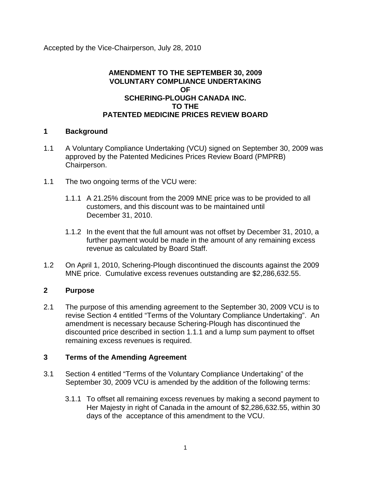Accepted by the Vice-Chairperson, July 28, 2010

## **AMENDMENT TO THE SEPTEMBER 30, 2009 VOLUNTARY COMPLIANCE UNDERTAKING OF SCHERING-PLOUGH CANADA INC. TO THE PATENTED MEDICINE PRICES REVIEW BOARD**

## **1 Background**

- 1.1 A Voluntary Compliance Undertaking (VCU) signed on September 30, 2009 was approved by the Patented Medicines Prices Review Board (PMPRB) Chairperson.
- 1.1 The two ongoing terms of the VCU were:
	- 1.1.1 A 21.25% discount from the 2009 MNE price was to be provided to all customers, and this discount was to be maintained until December 31, 2010.
	- 1.1.2 In the event that the full amount was not offset by December 31, 2010, a further payment would be made in the amount of any remaining excess revenue as calculated by Board Staff.
- 1.2 On April 1, 2010, Schering-Plough discontinued the discounts against the 2009 MNE price. Cumulative excess revenues outstanding are \$2,286,632.55.

## **2 Purpose**

2.1 The purpose of this amending agreement to the September 30, 2009 VCU is to revise Section 4 entitled "Terms of the Voluntary Compliance Undertaking". An amendment is necessary because Schering-Plough has discontinued the discounted price described in section 1.1.1 and a lump sum payment to offset remaining excess revenues is required.

## **3 Terms of the Amending Agreement**

- 3.1 Section 4 entitled "Terms of the Voluntary Compliance Undertaking" of the September 30, 2009 VCU is amended by the addition of the following terms:
	- 3.1.1 To offset all remaining excess revenues by making a second payment to Her Majesty in right of Canada in the amount of \$2,286,632.55, within 30 days of the acceptance of this amendment to the VCU.